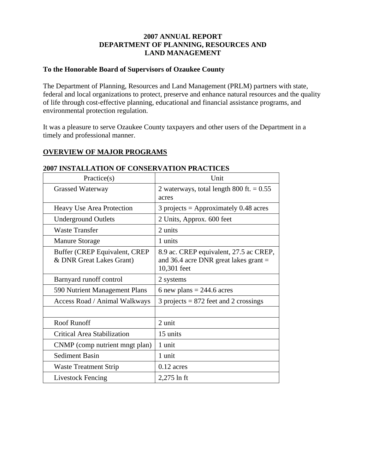#### **2007 ANNUAL REPORT DEPARTMENT OF PLANNING, RESOURCES AND LAND MANAGEMENT**

#### **To the Honorable Board of Supervisors of Ozaukee County**

The Department of Planning, Resources and Land Management (PRLM) partners with state, federal and local organizations to protect, preserve and enhance natural resources and the quality of life through cost-effective planning, educational and financial assistance programs, and environmental protection regulation.

It was a pleasure to serve Ozaukee County taxpayers and other users of the Department in a timely and professional manner.

#### **OVERVIEW OF MAJOR PROGRAMS**

| Practice(s)                                               | Unit                                                                                             |  |
|-----------------------------------------------------------|--------------------------------------------------------------------------------------------------|--|
| <b>Grassed Waterway</b>                                   | 2 waterways, total length 800 ft. $= 0.55$<br>acres                                              |  |
| Heavy Use Area Protection                                 | $3$ projects = Approximately 0.48 acres                                                          |  |
| <b>Underground Outlets</b>                                | 2 Units, Approx. 600 feet                                                                        |  |
| <b>Waste Transfer</b>                                     | 2 units                                                                                          |  |
| <b>Manure Storage</b>                                     | 1 units                                                                                          |  |
| Buffer (CREP Equivalent, CREP<br>& DNR Great Lakes Grant) | 8.9 ac. CREP equivalent, 27.5 ac CREP,<br>and 36.4 acre DNR great lakes grant $=$<br>10,301 feet |  |
| Barnyard runoff control                                   | 2 systems                                                                                        |  |
| 590 Nutrient Management Plans                             | 6 new plans = $244.6$ acres                                                                      |  |
| Access Road / Animal Walkways                             | $3$ projects = 872 feet and 2 crossings                                                          |  |
|                                                           |                                                                                                  |  |
| Roof Runoff                                               | 2 unit                                                                                           |  |
| Critical Area Stabilization                               | 15 units                                                                                         |  |
| CNMP (comp nutrient mngt plan)                            | 1 unit                                                                                           |  |
| <b>Sediment Basin</b>                                     | 1 unit                                                                                           |  |
| Waste Treatment Strip                                     | $0.12$ acres                                                                                     |  |
| Livestock Fencing                                         | $2,275$ ln ft                                                                                    |  |

#### **2007 INSTALLATION OF CONSERVATION PRACTICES**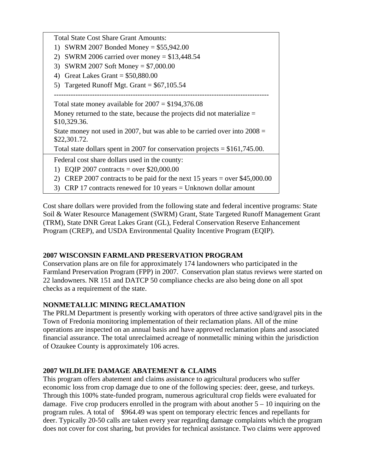| <b>Total State Cost Share Grant Amounts:</b>                                   |  |  |
|--------------------------------------------------------------------------------|--|--|
| SWRM 2007 Bonded Money = $$55,942.00$<br>1)                                    |  |  |
| SWRM 2006 carried over money = $$13,448.54$<br>2)                              |  |  |
| SWRM 2007 Soft Money = $$7,000.00$<br>3)                                       |  |  |
| Great Lakes Grant = $$50,880.00$<br>4)                                         |  |  |
| 5) Targeted Runoff Mgt. Grant = $$67,105.54$                                   |  |  |
|                                                                                |  |  |
| Total state money available for $2007 = $194,376.08$                           |  |  |
| Money returned to the state, because the projects did not materialize $=$      |  |  |
| \$10,329.36.                                                                   |  |  |
| State money not used in 2007, but was able to be carried over into $2008 =$    |  |  |
| \$22,301.72.                                                                   |  |  |
| Total state dollars spent in 2007 for conservation projects = $$161,745.00$ .  |  |  |
| Federal cost share dollars used in the county:                                 |  |  |
| 1) EQIP 2007 contracts = over $$20,000.00$                                     |  |  |
| CREP 2007 contracts to be paid for the next 15 years = over $$45,000.00$<br>2) |  |  |
| 3) CRP 17 contracts renewed for 10 years = Unknown dollar amount               |  |  |

Cost share dollars were provided from the following state and federal incentive programs: State Soil & Water Resource Management (SWRM) Grant, State Targeted Runoff Management Grant (TRM), State DNR Great Lakes Grant (GL), Federal Conservation Reserve Enhancement Program (CREP), and USDA Environmental Quality Incentive Program (EQIP).

### **2007 WISCONSIN FARMLAND PRESERVATION PROGRAM**

Conservation plans are on file for approximately 174 landowners who participated in the Farmland Preservation Program (FPP) in 2007. Conservation plan status reviews were started on 22 landowners. NR 151 and DATCP 50 compliance checks are also being done on all spot checks as a requirement of the state.

### **NONMETALLIC MINING RECLAMATION**

The PRLM Department is presently working with operators of three active sand/gravel pits in the Town of Fredonia monitoring implementation of their reclamation plans. All of the mine operations are inspected on an annual basis and have approved reclamation plans and associated financial assurance. The total unreclaimed acreage of nonmetallic mining within the jurisdiction of Ozaukee County is approximately 106 acres.

# **2007 WILDLIFE DAMAGE ABATEMENT & CLAIMS**

This program offers abatement and claims assistance to agricultural producers who suffer economic loss from crop damage due to one of the following species: deer, geese, and turkeys. Through this 100% state-funded program, numerous agricultural crop fields were evaluated for damage. Five crop producers enrolled in the program with about another  $5 - 10$  inquiring on the program rules. A total of \$964.49 was spent on temporary electric fences and repellants for deer. Typically 20-50 calls are taken every year regarding damage complaints which the program does not cover for cost sharing, but provides for technical assistance. Two claims were approved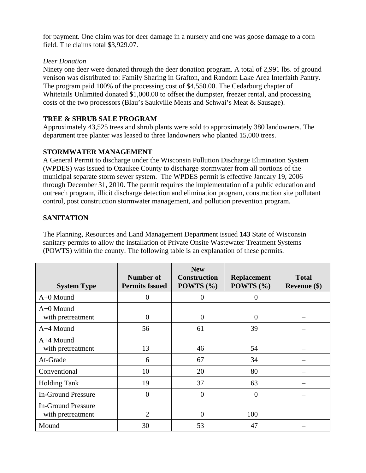for payment. One claim was for deer damage in a nursery and one was goose damage to a corn field. The claims total \$3,929.07.

#### *Deer Donation*

Ninety one deer were donated through the deer donation program. A total of 2,991 lbs. of ground venison was distributed to: Family Sharing in Grafton, and Random Lake Area Interfaith Pantry. The program paid 100% of the processing cost of \$4,550.00. The Cedarburg chapter of Whitetails Unlimited donated \$1,000.00 to offset the dumpster, freezer rental, and processing costs of the two processors (Blau's Saukville Meats and Schwai's Meat & Sausage).

### **TREE & SHRUB SALE PROGRAM**

Approximately 43,525 trees and shrub plants were sold to approximately 380 landowners. The department tree planter was leased to three landowners who planted 15,000 trees.

### **STORMWATER MANAGEMENT**

A General Permit to discharge under the Wisconsin Pollution Discharge Elimination System (WPDES) was issued to Ozaukee County to discharge stormwater from all portions of the municipal separate storm sewer system. The WPDES permit is effective January 19, 2006 through December 31, 2010. The permit requires the implementation of a public education and outreach program, illicit discharge detection and elimination program, construction site pollutant control, post construction stormwater management, and pollution prevention program.

### **SANITATION**

The Planning, Resources and Land Management Department issued **143** State of Wisconsin sanitary permits to allow the installation of Private Onsite Wastewater Treatment Systems (POWTS) within the county. The following table is an explanation of these permits.

| <b>System Type</b>                             | Number of<br><b>Permits Issued</b> | <b>New</b><br><b>Construction</b><br>POWTS $(\% )$ | <b>Replacement</b><br>POWTS $(\% )$ | <b>Total</b><br>Revenue $(\$)$ |
|------------------------------------------------|------------------------------------|----------------------------------------------------|-------------------------------------|--------------------------------|
| A+0 Mound                                      | $\overline{0}$                     | $\overline{0}$                                     | $\boldsymbol{0}$                    |                                |
| $A+0$ Mound<br>with pretreatment               | $\overline{0}$                     | $\overline{0}$                                     | $\boldsymbol{0}$                    |                                |
| A+4 Mound                                      | 56                                 | 61                                                 | 39                                  |                                |
| $A+4$ Mound<br>with pretreatment               | 13                                 | 46                                                 | 54                                  |                                |
| At-Grade                                       | 6                                  | 67                                                 | 34                                  |                                |
| Conventional                                   | 10                                 | 20                                                 | 80                                  |                                |
| <b>Holding Tank</b>                            | 19                                 | 37                                                 | 63                                  |                                |
| <b>In-Ground Pressure</b>                      | $\overline{0}$                     | $\overline{0}$                                     | $\theta$                            |                                |
| <b>In-Ground Pressure</b><br>with pretreatment | $\overline{2}$                     | $\theta$                                           | 100                                 |                                |
| Mound                                          | 30                                 | 53                                                 | 47                                  |                                |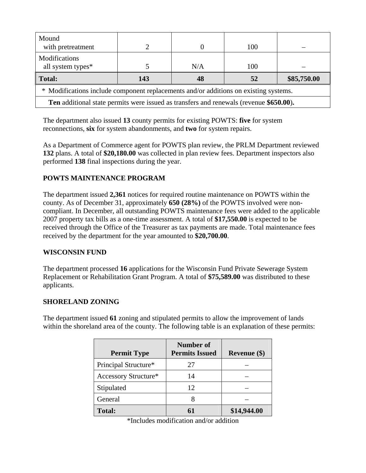| Mound<br>with pretreatment                                                                    | っ   |     | 100 |             |
|-----------------------------------------------------------------------------------------------|-----|-----|-----|-------------|
| <b>Modifications</b><br>all system types*                                                     |     | N/A | 100 |             |
| Total:                                                                                        | 143 | 48  | 52  | \$85,750.00 |
| * Modifications include component replacements and/or additions on existing systems.          |     |     |     |             |
| <b>Ten</b> additional state permits were issued as transfers and renewals (revenue \$650.00). |     |     |     |             |

The department also issued **13** county permits for existing POWTS: **five** for system reconnections, **six** for system abandonments, and **two** for system repairs.

As a Department of Commerce agent for POWTS plan review, the PRLM Department reviewed **132** plans. A total of **\$20,180.00** was collected in plan review fees. Department inspectors also performed **138** final inspections during the year.

## **POWTS MAINTENANCE PROGRAM**

The department issued **2,361** notices for required routine maintenance on POWTS within the county. As of December 31, approximately **650 (28%)** of the POWTS involved were noncompliant. In December, all outstanding POWTS maintenance fees were added to the applicable 2007 property tax bills as a one-time assessment. A total of **\$17,550.00** is expected to be received through the Office of the Treasurer as tax payments are made. Total maintenance fees received by the department for the year amounted to **\$20,700.00**.

### **WISCONSIN FUND**

The department processed **16** applications for the Wisconsin Fund Private Sewerage System Replacement or Rehabilitation Grant Program. A total of **\$75,589.00** was distributed to these applicants.

### **SHORELAND ZONING**

The department issued **61** zoning and stipulated permits to allow the improvement of lands within the shoreland area of the county. The following table is an explanation of these permits:

| <b>Permit Type</b>   | <b>Number of</b><br><b>Permits Issued</b> | Revenue (\$) |
|----------------------|-------------------------------------------|--------------|
| Principal Structure* | 27                                        |              |
| Accessory Structure* | 14                                        |              |
| Stipulated           | 12                                        |              |
| General              |                                           |              |
| <b>Total:</b>        | 61                                        | \$14,944.00  |

| *Includes modification and/or addition |  |
|----------------------------------------|--|
|----------------------------------------|--|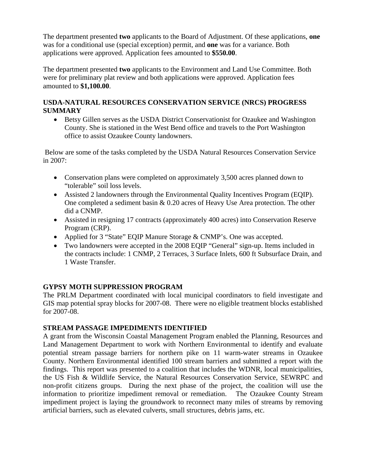The department presented **two** applicants to the Board of Adjustment. Of these applications, **one** was for a conditional use (special exception) permit, and **one** was for a variance. Both applications were approved. Application fees amounted to **\$550.00**.

The department presented **two** applicants to the Environment and Land Use Committee. Both were for preliminary plat review and both applications were approved. Application fees amounted to **\$1,100.00**.

### **USDA-NATURAL RESOURCES CONSERVATION SERVICE (NRCS) PROGRESS SUMMARY**

• Betsy Gillen serves as the USDA District Conservationist for Ozaukee and Washington County. She is stationed in the West Bend office and travels to the Port Washington office to assist Ozaukee County landowners.

 Below are some of the tasks completed by the USDA Natural Resources Conservation Service in 2007:

- Conservation plans were completed on approximately 3,500 acres planned down to "tolerable" soil loss levels.
- Assisted 2 landowners through the Environmental Quality Incentives Program (EQIP). One completed a sediment basin & 0.20 acres of Heavy Use Area protection. The other did a CNMP.
- Assisted in resigning 17 contracts (approximately 400 acres) into Conservation Reserve Program (CRP).
- Applied for 3 "State" EQIP Manure Storage & CNMP's. One was accepted.
- Two landowners were accepted in the 2008 EQIP "General" sign-up. Items included in the contracts include: 1 CNMP, 2 Terraces, 3 Surface Inlets, 600 ft Subsurface Drain, and 1 Waste Transfer.

# **GYPSY MOTH SUPPRESSION PROGRAM**

The PRLM Department coordinated with local municipal coordinators to field investigate and GIS map potential spray blocks for 2007-08. There were no eligible treatment blocks established for 2007-08.

# **STREAM PASSAGE IMPEDIMENTS IDENTIFIED**

A grant from the Wisconsin Coastal Management Program enabled the Planning, Resources and Land Management Department to work with Northern Environmental to identify and evaluate potential stream passage barriers for northern pike on 11 warm-water streams in Ozaukee County. Northern Environmental identified 100 stream barriers and submitted a report with the findings. This report was presented to a coalition that includes the WDNR, local municipalities, the US Fish & Wildlife Service, the Natural Resources Conservation Service, SEWRPC and non-profit citizens groups. During the next phase of the project, the coalition will use the information to prioritize impediment removal or remediation. The Ozaukee County Stream impediment project is laying the groundwork to reconnect many miles of streams by removing artificial barriers, such as elevated culverts, small structures, debris jams, etc.